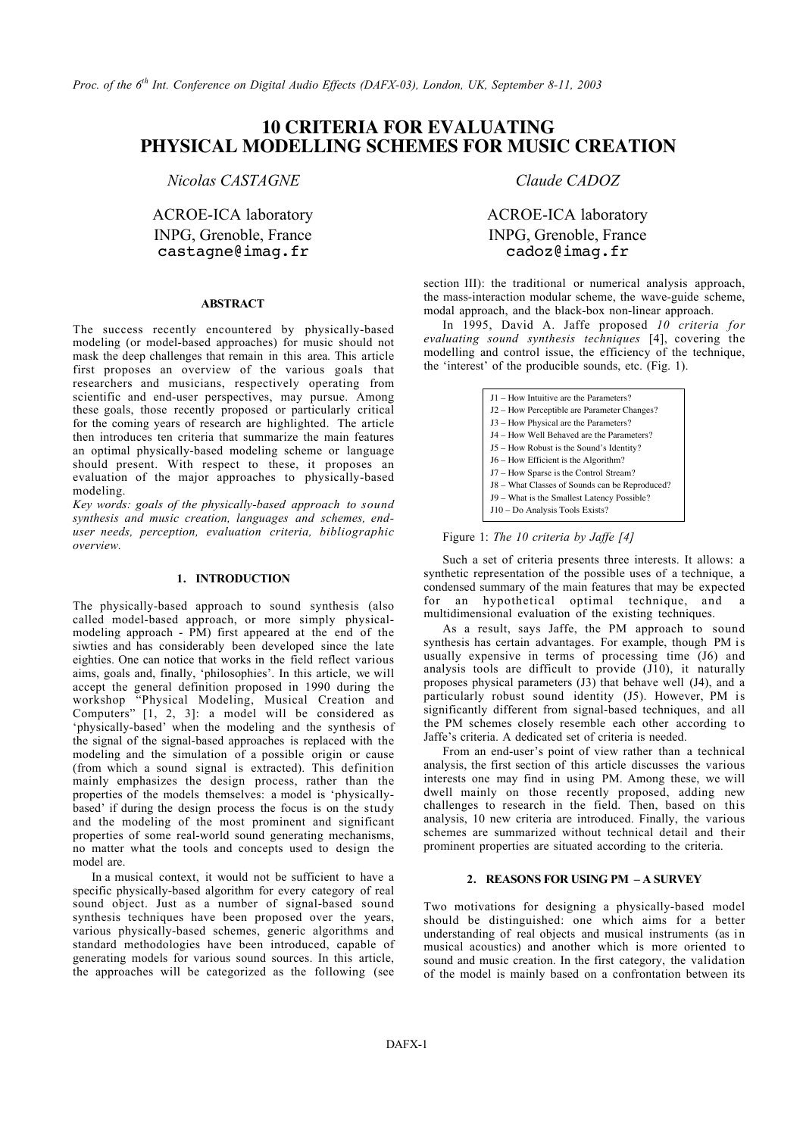*Proc. of the 6th Int. Conference on Digital Audio Effects (DAFX-03), London, UK, September 8-11, 2003*

### **10 CRITERIA FOR EVALUATING PHYSICAL MODELLING SCHEMES FOR MUSIC CREATION**

*Nicolas CASTAGNE Claude CADOZ*

# castagne@imag.fr

#### **ABSTRACT**

The success recently encountered by physically-based modeling (or model-based approaches) for music should not mask the deep challenges that remain in this area. This article first proposes an overview of the various goals that researchers and musicians, respectively operating from scientific and end-user perspectives, may pursue. Among these goals, those recently proposed or particularly critical for the coming years of research are highlighted. The article then introduces ten criteria that summarize the main features an optimal physically-based modeling scheme or language should present. With respect to these, it proposes an evaluation of the major approaches to physically-based modeling.

*Key words: goals of the physically-based approach to sound synthesis and music creation, languages and schemes, enduser needs, perception, evaluation criteria, bibliographic overview.*

#### **1. INTRODUCTION**

The physically-based approach to sound synthesis (also called model-based approach, or more simply physicalmodeling approach - PM) first appeared at the end of the siwties and has considerably been developed since the late eighties. One can notice that works in the field reflect various aims, goals and, finally, 'philosophies'. In this article, we will accept the general definition proposed in 1990 during the workshop "Physical Modeling, Musical Creation and Computers" [1, 2, 3]: a model will be considered as 'physically-based' when the modeling and the synthesis of the signal of the signal-based approaches is replaced with the modeling and the simulation of a possible origin or cause (from which a sound signal is extracted). This definition mainly emphasizes the design process, rather than the properties of the models themselves: a model is 'physicallybased' if during the design process the focus is on the study and the modeling of the most prominent and significant properties of some real-world sound generating mechanisms, no matter what the tools and concepts used to design the model are.

In a musical context, it would not be sufficient to have a specific physically-based algorithm for every category of real sound object. Just as a number of signal-based sound synthesis techniques have been proposed over the years, various physically-based schemes, generic algorithms and standard methodologies have been introduced, capable of generating models for various sound sources. In this article, the approaches will be categorized as the following (see

## ACROE-ICA laboratory ACROE-ICA laboratory INPG, Grenoble, France INPG, Grenoble, France Castagne@imag.fr cadoz@imag.fr

section III): the traditional or numerical analysis approach, the mass-interaction modular scheme, the wave-guide scheme, modal approach, and the black-box non-linear approach.

In 1995, David A. Jaffe proposed *10 criteria for evaluating sound synthesis techniques* [4], covering the modelling and control issue, the efficiency of the technique, the 'interest' of the producible sounds, etc. (Fig. 1).

| J1 – How Intuitive are the Parameters?         |
|------------------------------------------------|
| J2 – How Perceptible are Parameter Changes?    |
| J3 – How Physical are the Parameters?          |
| J4 - How Well Behaved are the Parameters?      |
| J5 – How Robust is the Sound's Identity?       |
| J6 – How Efficient is the Algorithm?           |
| J7 - How Sparse is the Control Stream?         |
| J8 – What Classes of Sounds can be Reproduced? |
| J9 – What is the Smallest Latency Possible?    |
| J10 - Do Analysis Tools Exists?                |

Figure 1: *The 10 criteria by Jaffe [4]*

Such a set of criteria presents three interests. It allows: a synthetic representation of the possible uses of a technique, a condensed summary of the main features that may be expected for an hypothetical optimal technique, and multidimensional evaluation of the existing techniques.

As a result, says Jaffe, the PM approach to sound synthesis has certain advantages. For example, though PM is usually expensive in terms of processing time (J6) and analysis tools are difficult to provide (J10), it naturally proposes physical parameters (J3) that behave well (J4), and a particularly robust sound identity (J5). However, PM is significantly different from signal-based techniques, and all the PM schemes closely resemble each other according to Jaffe's criteria. A dedicated set of criteria is needed.

From an end-user's point of view rather than a technical analysis, the first section of this article discusses the various interests one may find in using PM. Among these, we will dwell mainly on those recently proposed, adding new challenges to research in the field. Then, based on this analysis, 10 new criteria are introduced. Finally, the various schemes are summarized without technical detail and their prominent properties are situated according to the criteria.

#### **2. REASONS FOR USING PM – A SURVEY**

Two motivations for designing a physically-based model should be distinguished: one which aims for a better understanding of real objects and musical instruments (as in musical acoustics) and another which is more oriented to sound and music creation. In the first category, the validation of the model is mainly based on a confrontation between its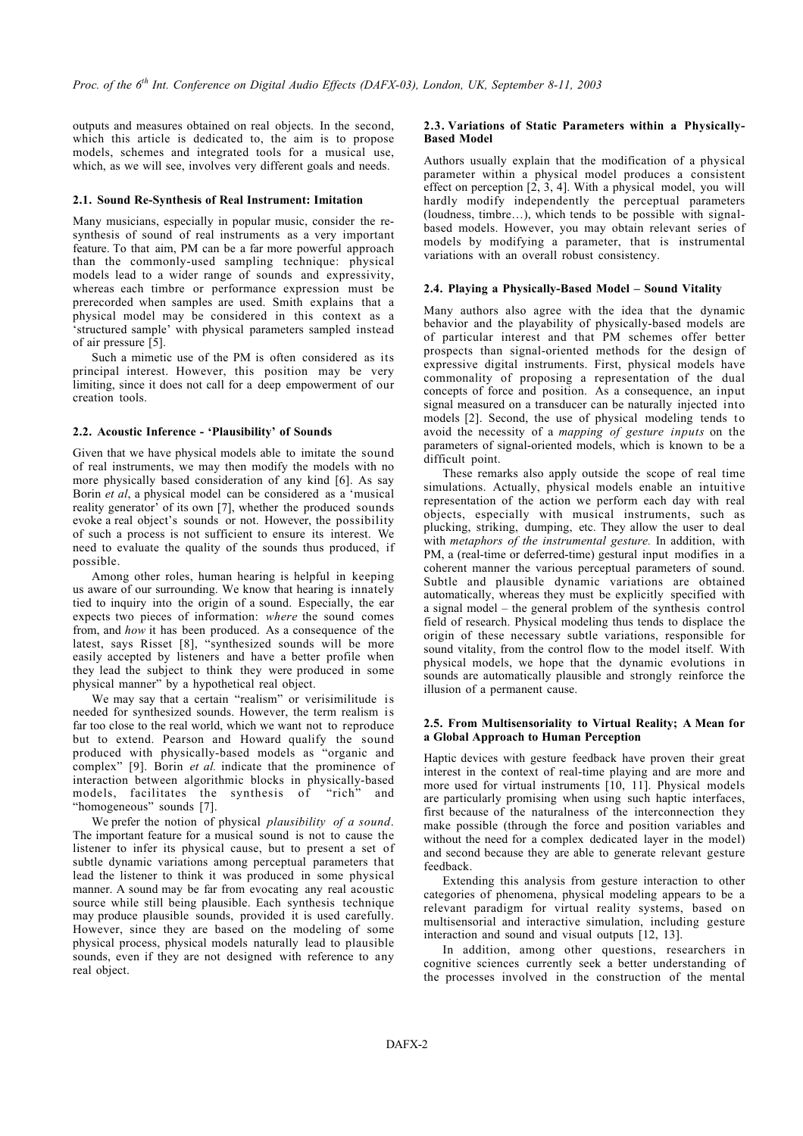outputs and measures obtained on real objects. In the second, which this article is dedicated to, the aim is to propose models, schemes and integrated tools for a musical use, which, as we will see, involves very different goals and needs.

#### **2.1. Sound Re-Synthesis of Real Instrument: Imitation**

Many musicians, especially in popular music, consider the resynthesis of sound of real instruments as a very important feature. To that aim, PM can be a far more powerful approach than the commonly-used sampling technique: physical models lead to a wider range of sounds and expressivity, whereas each timbre or performance expression must be prerecorded when samples are used. Smith explains that a physical model may be considered in this context as a 'structured sample' with physical parameters sampled instead of air pressure [5].

Such a mimetic use of the PM is often considered as its principal interest. However, this position may be very limiting, since it does not call for a deep empowerment of our creation tools.

#### **2.2. Acoustic Inference - 'Plausibility' of Sounds**

Given that we have physical models able to imitate the sound of real instruments, we may then modify the models with no more physically based consideration of any kind [6]. As say Borin *et al*, a physical model can be considered as a 'musical reality generator' of its own [7], whether the produced sounds evoke a real object's sounds or not. However, the possibility of such a process is not sufficient to ensure its interest. We need to evaluate the quality of the sounds thus produced, if possible.

Among other roles, human hearing is helpful in keeping us aware of our surrounding. We know that hearing is innately tied to inquiry into the origin of a sound. Especially, the ear expects two pieces of information: *where* the sound comes from, and *how* it has been produced. As a consequence of the latest, says Risset [8], "synthesized sounds will be more easily accepted by listeners and have a better profile when they lead the subject to think they were produced in some physical manner" by a hypothetical real object.

We may say that a certain "realism" or verisimilitude is needed for synthesized sounds. However, the term realism is far too close to the real world, which we want not to reproduce but to extend. Pearson and Howard qualify the sound produced with physically-based models as "organic and complex" [9]. Borin *et al.* indicate that the prominence of interaction between algorithmic blocks in physically-based models, facilitates the synthesis of "rich" and "homogeneous" sounds [7].

We prefer the notion of physical *plausibility of a sound*. The important feature for a musical sound is not to cause the listener to infer its physical cause, but to present a set of subtle dynamic variations among perceptual parameters that lead the listener to think it was produced in some physical manner. A sound may be far from evocating any real acoustic source while still being plausible. Each synthesis technique may produce plausible sounds, provided it is used carefully. However, since they are based on the modeling of some physical process, physical models naturally lead to plausible sounds, even if they are not designed with reference to any real object.

#### **2.3. Variations of Static Parameters within a Physically-Based Model**

Authors usually explain that the modification of a physical parameter within a physical model produces a consistent effect on perception  $[2, 3, 4]$ . With a physical model, you will hardly modify independently the perceptual parameters (loudness, timbre…), which tends to be possible with signalbased models. However, you may obtain relevant series of models by modifying a parameter, that is instrumental variations with an overall robust consistency.

#### **2.4. Playing a Physically-Based Model – Sound Vitality**

Many authors also agree with the idea that the dynamic behavior and the playability of physically-based models are of particular interest and that PM schemes offer better prospects than signal-oriented methods for the design of expressive digital instruments. First, physical models have commonality of proposing a representation of the dual concepts of force and position. As a consequence, an input signal measured on a transducer can be naturally injected into models [2]. Second, the use of physical modeling tends to avoid the necessity of a *mapping of gesture inputs* on the parameters of signal-oriented models, which is known to be a difficult point.

These remarks also apply outside the scope of real time simulations. Actually, physical models enable an intuitive representation of the action we perform each day with real objects, especially with musical instruments, such as plucking, striking, dumping, etc. They allow the user to deal with *metaphors of the instrumental gesture.* In addition, with PM, a (real-time or deferred-time) gestural input modifies in a coherent manner the various perceptual parameters of sound. Subtle and plausible dynamic variations are obtained automatically, whereas they must be explicitly specified with a signal model – the general problem of the synthesis control field of research. Physical modeling thus tends to displace the origin of these necessary subtle variations, responsible for sound vitality, from the control flow to the model itself. With physical models, we hope that the dynamic evolutions in sounds are automatically plausible and strongly reinforce the illusion of a permanent cause.

#### **2.5. From Multisensoriality to Virtual Reality; A Mean for a Global Approach to Human Perception**

Haptic devices with gesture feedback have proven their great interest in the context of real-time playing and are more and more used for virtual instruments [10, 11]. Physical models are particularly promising when using such haptic interfaces, first because of the naturalness of the interconnection they make possible (through the force and position variables and without the need for a complex dedicated layer in the model) and second because they are able to generate relevant gesture feedback.

Extending this analysis from gesture interaction to other categories of phenomena, physical modeling appears to be a relevant paradigm for virtual reality systems, based on multisensorial and interactive simulation, including gesture interaction and sound and visual outputs [12, 13].

In addition, among other questions, researchers in cognitive sciences currently seek a better understanding of the processes involved in the construction of the mental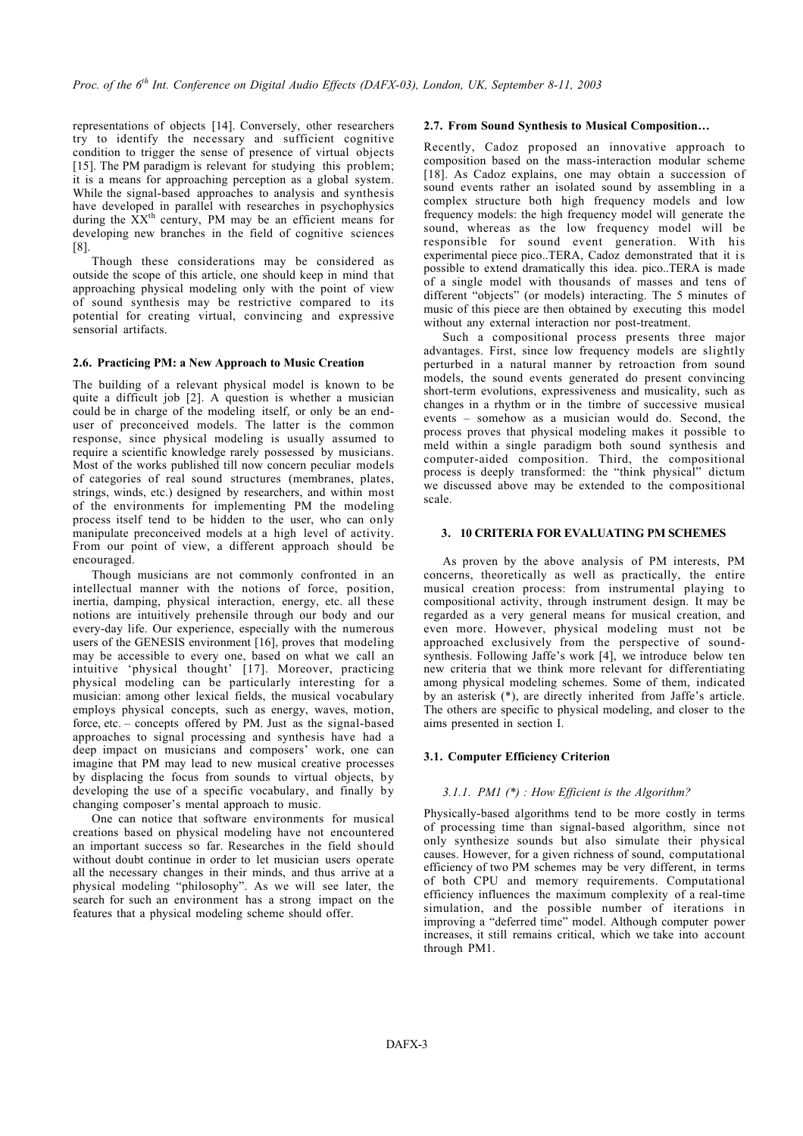representations of objects [14]. Conversely, other researchers try to identify the necessary and sufficient cognitive condition to trigger the sense of presence of virtual objects [15]. The PM paradigm is relevant for studying this problem; it is a means for approaching perception as a global system. While the signal-based approaches to analysis and synthesis have developed in parallel with researches in psychophysics during the  $\overrightarrow{XX}^{th}$  century. PM may be an efficient means for developing new branches in the field of cognitive sciences [8].

Though these considerations may be considered as outside the scope of this article, one should keep in mind that approaching physical modeling only with the point of view of sound synthesis may be restrictive compared to its potential for creating virtual, convincing and expressive sensorial artifacts.

#### **2.6. Practicing PM: a New Approach to Music Creation**

The building of a relevant physical model is known to be quite a difficult job [2]. A question is whether a musician could be in charge of the modeling itself, or only be an enduser of preconceived models. The latter is the common response, since physical modeling is usually assumed to require a scientific knowledge rarely possessed by musicians. Most of the works published till now concern peculiar models of categories of real sound structures (membranes, plates, strings, winds, etc.) designed by researchers, and within most of the environments for implementing PM the modeling process itself tend to be hidden to the user, who can only manipulate preconceived models at a high level of activity. From our point of view, a different approach should be encouraged.

Though musicians are not commonly confronted in an intellectual manner with the notions of force, position, inertia, damping, physical interaction, energy, etc. all these notions are intuitively prehensile through our body and our every-day life. Our experience, especially with the numerous users of the GENESIS environment [16], proves that modeling may be accessible to every one, based on what we call an intuitive 'physical thought' [17]. Moreover, practicing physical modeling can be particularly interesting for a musician: among other lexical fields, the musical vocabulary employs physical concepts, such as energy, waves, motion, force, etc. – concepts offered by PM. Just as the signal-based approaches to signal processing and synthesis have had a deep impact on musicians and composers' work, one can imagine that PM may lead to new musical creative processes by displacing the focus from sounds to virtual objects, by developing the use of a specific vocabulary, and finally by changing composer's mental approach to music.

One can notice that software environments for musical creations based on physical modeling have not encountered an important success so far. Researches in the field should without doubt continue in order to let musician users operate all the necessary changes in their minds, and thus arrive at a physical modeling "philosophy". As we will see later, the search for such an environment has a strong impact on the features that a physical modeling scheme should offer.

#### **2.7. From Sound Synthesis to Musical Composition…**

Recently, Cadoz proposed an innovative approach to composition based on the mass-interaction modular scheme [18]. As Cadoz explains, one may obtain a succession of sound events rather an isolated sound by assembling in a complex structure both high frequency models and low frequency models: the high frequency model will generate the sound, whereas as the low frequency model will be responsible for sound event generation. With his experimental piece pico..TERA, Cadoz demonstrated that it is possible to extend dramatically this idea. pico..TERA is made of a single model with thousands of masses and tens of different "objects" (or models) interacting. The 5 minutes of music of this piece are then obtained by executing this model without any external interaction nor post-treatment.

Such a compositional process presents three major advantages. First, since low frequency models are slightly perturbed in a natural manner by retroaction from sound models, the sound events generated do present convincing short-term evolutions, expressiveness and musicality, such as changes in a rhythm or in the timbre of successive musical events – somehow as a musician would do. Second, the process proves that physical modeling makes it possible to meld within a single paradigm both sound synthesis and computer-aided composition. Third, the compositional process is deeply transformed: the "think physical" dictum we discussed above may be extended to the compositional scale.

#### **3. 10 CRITERIA FOR EVALUATING PM SCHEMES**

As proven by the above analysis of PM interests, PM concerns, theoretically as well as practically, the entire musical creation process: from instrumental playing to compositional activity, through instrument design. It may be regarded as a very general means for musical creation, and even more. However, physical modeling must not be approached exclusively from the perspective of soundsynthesis. Following Jaffe's work  $[4]$ , we introduce below ten new criteria that we think more relevant for differentiating among physical modeling schemes. Some of them, indicated by an asterisk (\*), are directly inherited from Jaffe's article. The others are specific to physical modeling, and closer to the aims presented in section I.

#### **3.1. Computer Efficiency Criterion**

#### *3.1.1. PM1 (\*) : How Efficient is the Algorithm?*

Physically-based algorithms tend to be more costly in terms of processing time than signal-based algorithm, since not only synthesize sounds but also simulate their physical causes. However, for a given richness of sound, computational efficiency of two PM schemes may be very different, in terms of both CPU and memory requirements. Computational efficiency influences the maximum complexity of a real-time simulation, and the possible number of iterations in improving a "deferred time" model. Although computer power increases, it still remains critical, which we take into account through PM1.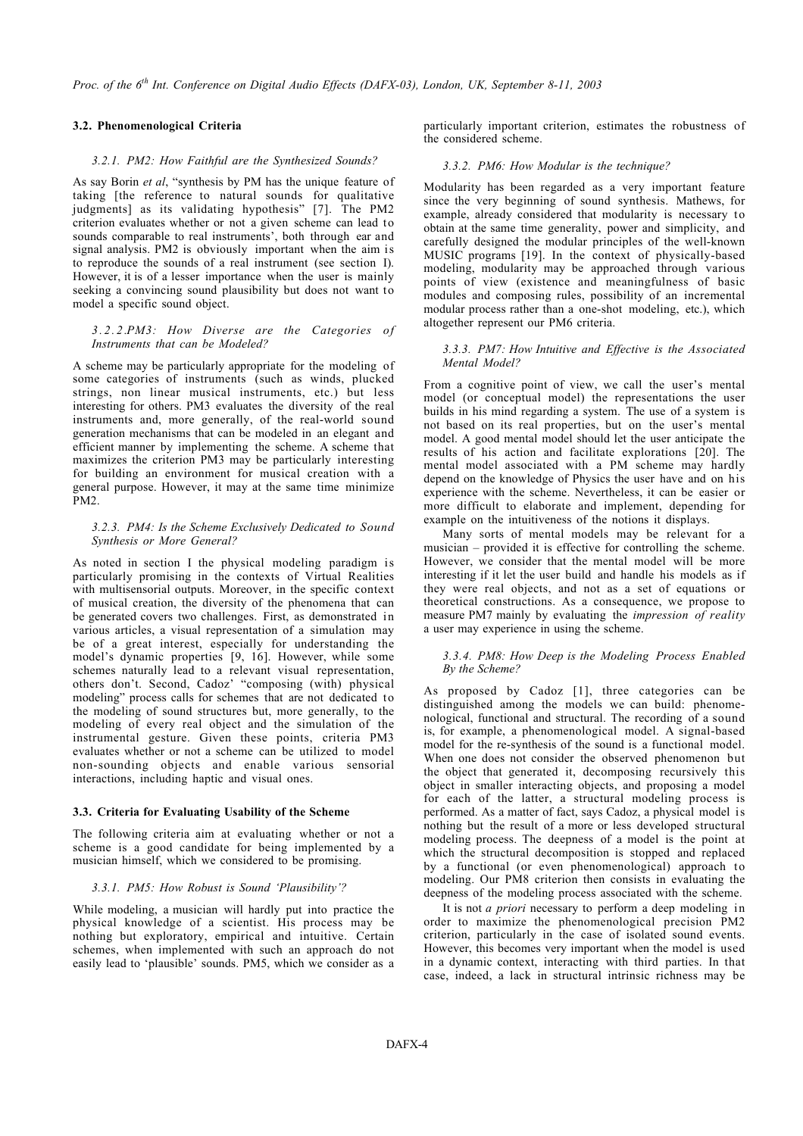#### **3.2. Phenomenological Criteria**

#### *3.2.1. PM2: How Faithful are the Synthesized Sounds?*

As say Borin *et al*, "synthesis by PM has the unique feature of taking [the reference to natural sounds for qualitative judgments] as its validating hypothesis" [7]. The PM2 criterion evaluates whether or not a given scheme can lead to sounds comparable to real instruments', both through ear and signal analysis. PM2 is obviously important when the aim is to reproduce the sounds of a real instrument (see section I). However, it is of a lesser importance when the user is mainly seeking a convincing sound plausibility but does not want to model a specific sound object.

#### *3.2.2.PM3: How Diverse are the Categories of Instruments that can be Modeled?*

A scheme may be particularly appropriate for the modeling of some categories of instruments (such as winds, plucked strings, non linear musical instruments, etc.) but less interesting for others. PM3 evaluates the diversity of the real instruments and, more generally, of the real-world sound generation mechanisms that can be modeled in an elegant and efficient manner by implementing the scheme. A scheme that maximizes the criterion PM3 may be particularly interesting for building an environment for musical creation with a general purpose. However, it may at the same time minimize PM2.

#### *3.2.3. PM4: Is the Scheme Exclusively Dedicated to Sound Synthesis or More General?*

As noted in section I the physical modeling paradigm is particularly promising in the contexts of Virtual Realities with multisensorial outputs. Moreover, in the specific context of musical creation, the diversity of the phenomena that can be generated covers two challenges. First, as demonstrated in various articles, a visual representation of a simulation may be of a great interest, especially for understanding the model's dynamic properties [9, 16]. However, while some schemes naturally lead to a relevant visual representation, others don't. Second, Cadoz' "composing (with) physical modeling" process calls for schemes that are not dedicated to the modeling of sound structures but, more generally, to the modeling of every real object and the simulation of the instrumental gesture. Given these points, criteria PM3 evaluates whether or not a scheme can be utilized to model non-sounding objects and enable various sensorial interactions, including haptic and visual ones.

#### **3.3. Criteria for Evaluating Usability of the Scheme**

The following criteria aim at evaluating whether or not a scheme is a good candidate for being implemented by a musician himself, which we considered to be promising.

#### *3.3.1. PM5: How Robust is Sound 'Plausibility'?*

While modeling, a musician will hardly put into practice the physical knowledge of a scientist. His process may be nothing but exploratory, empirical and intuitive. Certain schemes, when implemented with such an approach do not easily lead to 'plausible' sounds. PM5, which we consider as a particularly important criterion, estimates the robustness of the considered scheme.

#### *3.3.2. PM6: How Modular is the technique?*

Modularity has been regarded as a very important feature since the very beginning of sound synthesis. Mathews, for example, already considered that modularity is necessary to obtain at the same time generality, power and simplicity, and carefully designed the modular principles of the well-known MUSIC programs [19]. In the context of physically-based modeling, modularity may be approached through various points of view (existence and meaningfulness of basic modules and composing rules, possibility of an incremental modular process rather than a one-shot modeling, etc.), which altogether represent our PM6 criteria.

#### *3.3.3. PM7: How Intuitive and Effective is the Associated Mental Model?*

From a cognitive point of view, we call the user's mental model (or conceptual model) the representations the user builds in his mind regarding a system. The use of a system is not based on its real properties, but on the user's mental model. A good mental model should let the user anticipate the results of his action and facilitate explorations [20]. The mental model associated with a PM scheme may hardly depend on the knowledge of Physics the user have and on his experience with the scheme. Nevertheless, it can be easier or more difficult to elaborate and implement, depending for example on the intuitiveness of the notions it displays.

Many sorts of mental models may be relevant for a musician – provided it is effective for controlling the scheme. However, we consider that the mental model will be more interesting if it let the user build and handle his models as if they were real objects, and not as a set of equations or theoretical constructions. As a consequence, we propose to measure PM7 mainly by evaluating the *impression of reality* a user may experience in using the scheme.

#### *3.3.4. PM8: How Deep is the Modeling Process Enabled By the Scheme?*

As proposed by Cadoz [1], three categories can be distinguished among the models we can build: phenomenological, functional and structural. The recording of a sound is, for example, a phenomenological model. A signal-based model for the re-synthesis of the sound is a functional model. When one does not consider the observed phenomenon but the object that generated it, decomposing recursively this object in smaller interacting objects, and proposing a model for each of the latter, a structural modeling process is performed. As a matter of fact, says Cadoz, a physical model is nothing but the result of a more or less developed structural modeling process. The deepness of a model is the point at which the structural decomposition is stopped and replaced by a functional (or even phenomenological) approach to modeling. Our PM8 criterion then consists in evaluating the deepness of the modeling process associated with the scheme.

It is not *a priori* necessary to perform a deep modeling in order to maximize the phenomenological precision PM2 criterion, particularly in the case of isolated sound events. However, this becomes very important when the model is used in a dynamic context, interacting with third parties. In that case, indeed, a lack in structural intrinsic richness may be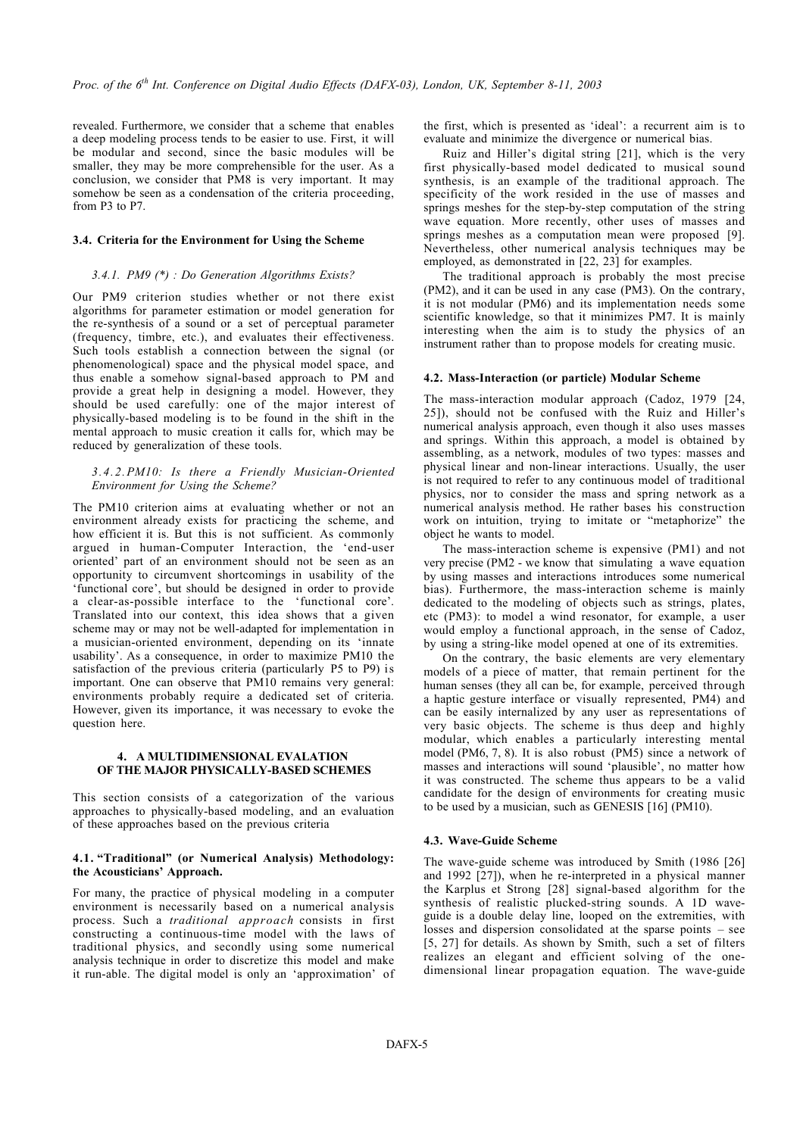revealed. Furthermore, we consider that a scheme that enables a deep modeling process tends to be easier to use. First, it will be modular and second, since the basic modules will be smaller, they may be more comprehensible for the user. As a conclusion, we consider that PM8 is very important. It may somehow be seen as a condensation of the criteria proceeding, from P3 to P7.

#### **3.4. Criteria for the Environment for Using the Scheme**

#### *3.4.1. PM9 (\*) : Do Generation Algorithms Exists?*

Our PM9 criterion studies whether or not there exist algorithms for parameter estimation or model generation for the re-synthesis of a sound or a set of perceptual parameter (frequency, timbre, etc.), and evaluates their effectiveness. Such tools establish a connection between the signal (or phenomenological) space and the physical model space, and thus enable a somehow signal-based approach to PM and provide a great help in designing a model. However, they should be used carefully: one of the major interest of physically-based modeling is to be found in the shift in the mental approach to music creation it calls for, which may be reduced by generalization of these tools.

#### *3.4.2.PM10: Is there a Friendly Musician-Oriented Environment for Using the Scheme?*

The PM10 criterion aims at evaluating whether or not an environment already exists for practicing the scheme, and how efficient it is. But this is not sufficient. As commonly argued in human-Computer Interaction, the 'end-user oriented' part of an environment should not be seen as an opportunity to circumvent shortcomings in usability of the 'functional core', but should be designed in order to provide a clear-as-possible interface to the 'functional core'. Translated into our context, this idea shows that a given scheme may or may not be well-adapted for implementation in a musician-oriented environment, depending on its 'innate usability'. As a consequence, in order to maximize PM10 the satisfaction of the previous criteria (particularly P5 to P9) is important. One can observe that PM10 remains very general: environments probably require a dedicated set of criteria. However, given its importance, it was necessary to evoke the question here.

#### **4. A MULTIDIMENSIONAL EVALATION OF THE MAJOR PHYSICALLY-BASED SCHEMES**

This section consists of a categorization of the various approaches to physically-based modeling, and an evaluation of these approaches based on the previous criteria

#### **4.1. "Traditional" (or Numerical Analysis) Methodology: the Acousticians' Approach.**

For many, the practice of physical modeling in a computer environment is necessarily based on a numerical analysis process. Such a *traditional approach* consists in first constructing a continuous-time model with the laws of traditional physics, and secondly using some numerical analysis technique in order to discretize this model and make it run-able. The digital model is only an 'approximation' of the first, which is presented as 'ideal': a recurrent aim is to evaluate and minimize the divergence or numerical bias.

Ruiz and Hiller's digital string [21], which is the very first physically-based model dedicated to musical sound synthesis, is an example of the traditional approach. The specificity of the work resided in the use of masses and springs meshes for the step-by-step computation of the string wave equation. More recently, other uses of masses and springs meshes as a computation mean were proposed [9]. Nevertheless, other numerical analysis techniques may be employed, as demonstrated in [22, 23] for examples.

The traditional approach is probably the most precise (PM2), and it can be used in any case (PM3). On the contrary, it is not modular (PM6) and its implementation needs some scientific knowledge, so that it minimizes PM7. It is mainly interesting when the aim is to study the physics of an instrument rather than to propose models for creating music.

#### **4.2. Mass-Interaction (or particle) Modular Scheme**

The mass-interaction modular approach (Cadoz, 1979 [24, 25]), should not be confused with the Ruiz and Hiller's numerical analysis approach, even though it also uses masses and springs. Within this approach, a model is obtained by assembling, as a network, modules of two types: masses and physical linear and non-linear interactions. Usually, the user is not required to refer to any continuous model of traditional physics, nor to consider the mass and spring network as a numerical analysis method. He rather bases his construction work on intuition, trying to imitate or "metaphorize" the object he wants to model.

The mass-interaction scheme is expensive (PM1) and not very precise (PM2 - we know that simulating a wave equation by using masses and interactions introduces some numerical bias). Furthermore, the mass-interaction scheme is mainly dedicated to the modeling of objects such as strings, plates, etc (PM3): to model a wind resonator, for example, a user would employ a functional approach, in the sense of Cadoz, by using a string-like model opened at one of its extremities.

On the contrary, the basic elements are very elementary models of a piece of matter, that remain pertinent for the human senses (they all can be, for example, perceived through a haptic gesture interface or visually represented, PM4) and can be easily internalized by any user as representations of very basic objects. The scheme is thus deep and highly modular, which enables a particularly interesting mental model (PM6, 7, 8). It is also robust (PM5) since a network of masses and interactions will sound 'plausible', no matter how it was constructed. The scheme thus appears to be a valid candidate for the design of environments for creating music to be used by a musician, such as GENESIS [16] (PM10).

#### **4.3. Wave-Guide Scheme**

The wave-guide scheme was introduced by Smith (1986 [26] and 1992  $\left[27\right]$ ), when he re-interpreted in a physical manner the Karplus et Strong [28] signal-based algorithm for the synthesis of realistic plucked-string sounds. A 1D waveguide is a double delay line, looped on the extremities, with losses and dispersion consolidated at the sparse points – see [5, 27] for details. As shown by Smith, such a set of filters realizes an elegant and efficient solving of the onedimensional linear propagation equation. The wave-guide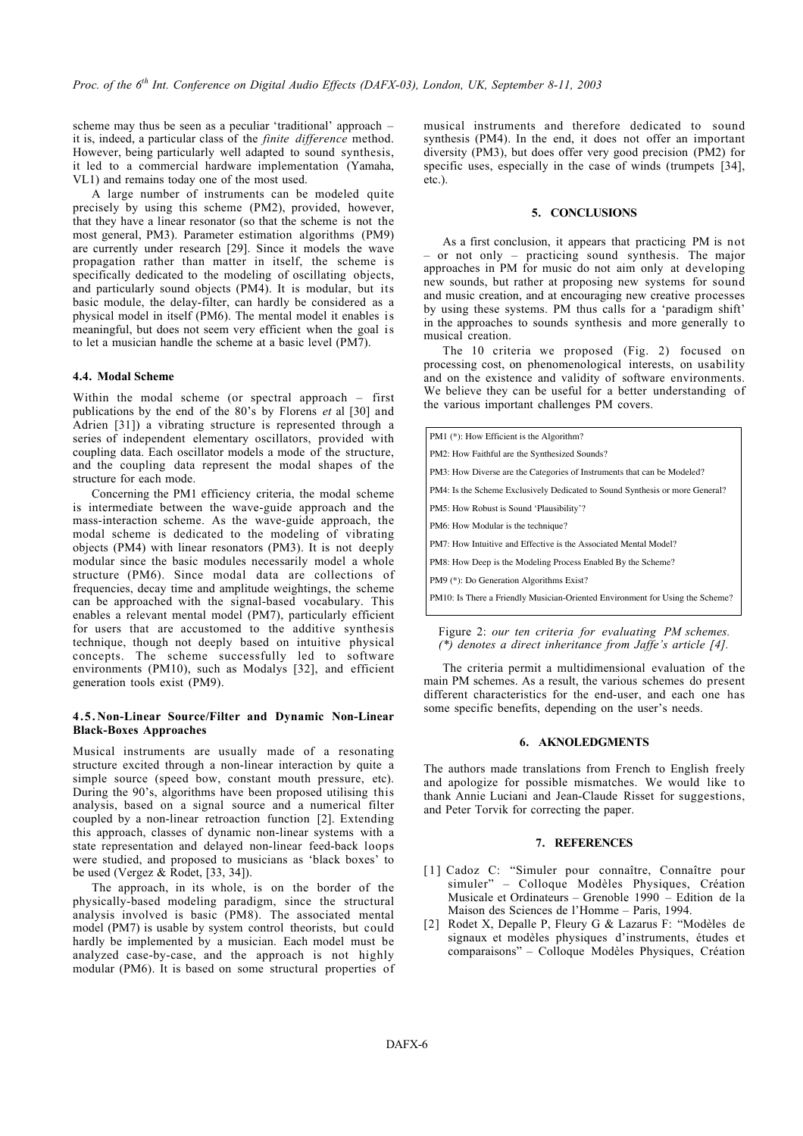scheme may thus be seen as a peculiar 'traditional' approach – it is, indeed, a particular class of the *finite difference* method. However, being particularly well adapted to sound synthesis, it led to a commercial hardware implementation (Yamaha, VL1) and remains today one of the most used.

A large number of instruments can be modeled quite precisely by using this scheme (PM2), provided, however, that they have a linear resonator (so that the scheme is not the most general, PM3). Parameter estimation algorithms (PM9) are currently under research [29]. Since it models the wave propagation rather than matter in itself, the scheme is specifically dedicated to the modeling of oscillating objects, and particularly sound objects (PM4). It is modular, but its basic module, the delay-filter, can hardly be considered as a physical model in itself (PM6). The mental model it enables is meaningful, but does not seem very efficient when the goal is to let a musician handle the scheme at a basic level (PM7).

#### **4.4. Modal Scheme**

Within the modal scheme (or spectral approach – first publications by the end of the 80's by Florens *et* al [30] and Adrien [31]) a vibrating structure is represented through a series of independent elementary oscillators, provided with coupling data. Each oscillator models a mode of the structure, and the coupling data represent the modal shapes of the structure for each mode.

Concerning the PM1 efficiency criteria, the modal scheme is intermediate between the wave-guide approach and the mass-interaction scheme. As the wave-guide approach, the modal scheme is dedicated to the modeling of vibrating objects (PM4) with linear resonators (PM3). It is not deeply modular since the basic modules necessarily model a whole structure (PM6). Since modal data are collections of frequencies, decay time and amplitude weightings, the scheme can be approached with the signal-based vocabulary. This enables a relevant mental model (PM7), particularly efficient for users that are accustomed to the additive synthesis technique, though not deeply based on intuitive physical concepts. The scheme successfully led to software environments (PM10), such as Modalys [32], and efficient generation tools exist (PM9).

#### **4.5. Non-Linear Source/Filter and Dynamic Non-Linear Black-Boxes Approaches**

Musical instruments are usually made of a resonating structure excited through a non-linear interaction by quite a simple source (speed bow, constant mouth pressure, etc). During the 90's, algorithms have been proposed utilising this analysis, based on a signal source and a numerical filter coupled by a non-linear retroaction function [2]. Extending this approach, classes of dynamic non-linear systems with a state representation and delayed non-linear feed-back loops were studied, and proposed to musicians as 'black boxes' to be used (Vergez & Rodet, [33, 34]).

The approach, in its whole, is on the border of the physically-based modeling paradigm, since the structural analysis involved is basic (PM8). The associated mental model (PM7) is usable by system control theorists, but could hardly be implemented by a musician. Each model must be analyzed case-by-case, and the approach is not highly modular (PM6). It is based on some structural properties of musical instruments and therefore dedicated to sound synthesis (PM4). In the end, it does not offer an important diversity (PM3), but does offer very good precision (PM2) for specific uses, especially in the case of winds (trumpets [34], etc.).

#### **5. CONCLUSIONS**

As a first conclusion, it appears that practicing PM is not – or not only – practicing sound synthesis. The major approaches in PM for music do not aim only at developing new sounds, but rather at proposing new systems for sound and music creation, and at encouraging new creative processes by using these systems. PM thus calls for a 'paradigm shift' in the approaches to sounds synthesis and more generally to musical creation.

The 10 criteria we proposed (Fig. 2) focused on processing cost, on phenomenological interests, on usability and on the existence and validity of software environments. We believe they can be useful for a better understanding of the various important challenges PM covers.

| PM1 (*): How Efficient is the Algorithm?                                      |
|-------------------------------------------------------------------------------|
| PM2: How Faithful are the Synthesized Sounds?                                 |
| PM3: How Diverse are the Categories of Instruments that can be Modeled?       |
| PM4: Is the Scheme Exclusively Dedicated to Sound Synthesis or more General?  |
| PM5: How Robust is Sound 'Plausibility'?                                      |
| PM6: How Modular is the technique?                                            |
| PM7: How Intuitive and Effective is the Associated Mental Model?              |
| PM8: How Deep is the Modeling Process Enabled By the Scheme?                  |
| PM9 (*): Do Generation Algorithms Exist?                                      |
| PM10: Is There a Friendly Musician-Oriented Environment for Using the Scheme? |
|                                                                               |

Figure 2: *our ten criteria for evaluating PM schemes. (\*) denotes a direct inheritance from Jaffe's article [4].*

The criteria permit a multidimensional evaluation of the main PM schemes. As a result, the various schemes do present different characteristics for the end-user, and each one has some specific benefits, depending on the user's needs.

#### **6. AKNOLEDGMENTS**

The authors made translations from French to English freely and apologize for possible mismatches. We would like to thank Annie Luciani and Jean-Claude Risset for suggestions, and Peter Torvik for correcting the paper.

#### **7. REFERENCES**

- [1] Cadoz C: "Simuler pour connaître, Connaître pour simuler" – Colloque Modèles Physiques, Création Musicale et Ordinateurs – Grenoble 1990 – Edition de la Maison des Sciences de l'Homme – Paris, 1994.
- [2] Rodet X, Depalle P, Fleury G & Lazarus F: "Modèles de signaux et modèles physiques d'instruments, études et comparaisons" – Colloque Modèles Physiques, Création